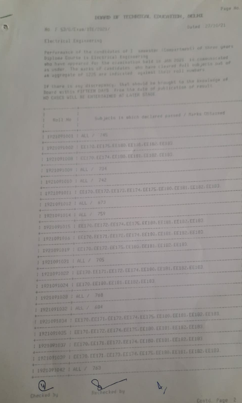No F \$3/6/Exam/RTE/2021/

Dated 27/10/21

Electrical Engineering

Performance of the candidates of I memories (Compartment) of three quart Diplosa Course in Electrical Engineering who have appeared for the exemination hwid in JAN 2021 is communicated as under. The marks of candidates, who have cleared full subjects out of an aggregate of 1225 are indicated against their roll sumbers.

If there is any discrepancy, that should be brought to the knowledge of Board within FirTHEN DAYS Free the date of publication of result NO CASES WILL BE CHIERTAINED AT LATER STAGE

| Roll No<br>٢           | Subjects in which duclared passed / Marks Obtained<br>٠<br>ı                  |
|------------------------|-------------------------------------------------------------------------------|
|                        | 1 1921091001   ALL / 745                                                      |
|                        | 1921091002 J EE170. EE175. EE180. EE181. EE182. EE183.                        |
|                        | 1921091008   EE170, EE174, EE180, EE181, EE182, EE183                         |
|                        | 1 1921091009   ALL / 734                                                      |
|                        | 1 1921091010   ALL / 742                                                      |
|                        | 1 1921091011   EE170, EE172, EE173, EE174, EE175, EE180, EE181, EE182, EE193, |
|                        | 1 1921091012   ALL / 673                                                      |
|                        | 1921091014   ALL / 759                                                        |
|                        | 1 1921091015   EE170, EE172, EE174, EE175, EE180, EE181, EE182, EE183         |
|                        | I 1921091016   EE170, EE171, EE172, EE174, EE180, EE181, EE182, EE183         |
|                        | 1 1921091019   EE170, EE172, EE175, EE180, EE181, EE182, EE183                |
|                        | 1 1921091021   ALL / 705                                                      |
|                        | 1 1921091022   EE170, EE171, EE172, EE174, EE180, EE181, EE182, EE183         |
|                        | 1 1921091024   EE170.EE180.EE181.EE182.EE183                                  |
|                        | 1 1921091028   ALL / 768                                                      |
|                        | 1 1921091032   ALL / 684                                                      |
|                        | 1921091034   EE170.EE171.EE172.EE174.EE175.EE100.EE181.EE182.EE183.           |
|                        | 1921091035   EE170. EE172. EE174. EE175. EE180. EE181. EE182. EE183.          |
|                        | 1921091037   EE170, EE171, EE172, EE174, EE180, EE181, EE182, EE183           |
|                        | 1921091039 : EE170, EE171, EE173, EE174, EE175, EE180, EE181, EE182, EE183.   |
|                        |                                                                               |
| 1921091042   ALL / 763 |                                                                               |

Checked by

Rechecked by



Contd.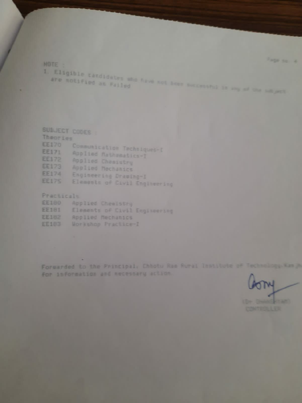Farge on A.

NOTE

1. Eligible candidates who have not how meteorol in my of the samper

| SUBJECT CODES I |                                  |
|-----------------|----------------------------------|
| Theories        |                                  |
|                 | EE170 Communication Techniques-D |
| <b>EE171</b>    | Applied Mathematics-I            |
| EE172           | Rpplied Chemistry                |
| EE173           | Applied Mechanics                |
| <b>EE174</b>    | Engineering Drawing-1            |
| <b>EE175</b>    | Elements of Civil Engineering    |

Practicals

| <b>EE180</b> |  | Applied Chemistry   |                               |
|--------------|--|---------------------|-------------------------------|
| <b>EE181</b> |  |                     | Elements of Civil Engineering |
| <b>EE182</b> |  | Applied Mechanics   |                               |
| EE183        |  | Workshop Practice-I |                               |

Forwarded to the Principal, Chhotu Ram Rural Institute of Technology. Kan A For information and necessary action.

M the Beautiful and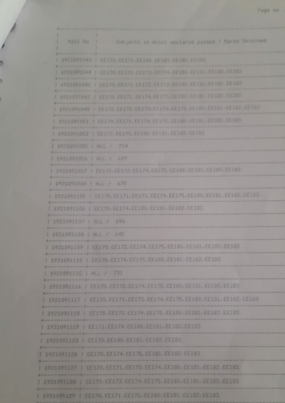| HAD JACKS 28 MILES GetTarne pussed / Marks COLAINed<br>Rull Mo<br>r<br>٠.             |
|---------------------------------------------------------------------------------------|
| 1 1921091043 1 13170 13171 13180 13181 13182 13180                                    |
| 2 1921091044 1 41170, EE171, EE173, CE1774, EE180, EE181, EE181, EE182                |
| 1 1921091045   EE170-EE171-EE172-EE173:EE140. EE101. EE142. EE143                     |
| E 1921071047   ER170, CES71, ER174, ER171, ILE (IN) ARTICLE ER102, ER103              |
| 1. 1921091048   KET70, LES72, EKI73, FEL74, KES75, KES95, KES81, KES82, KES82         |
| 2 1921091051 1 EE170, EE171, EK174, EE177, EE180, EE181, EE182, EE187                 |
| 1 1921091053   KE170 FE175 EE190 EE101 EE102 EE103                                    |
| 1 1921091055 [ ALL / 724                                                              |
| 1 1921091056   ALL / 689                                                              |
| 1 1921091057   EE170, CE172, EE174, EE175, EE180, CE101, EE182, CE181                 |
| 1 1921091060 ALL / 670                                                                |
| 1 1921091105 1 FR 170, EE 171, CE 173, EE 174, EE 175, EE 180, EE 181, EE 182, EE 187 |
| 1 1921091106   EE170, EE174, EE180, EE181, EE182, EE183,                              |
| 1 1921091107 1 ALL / 696                                                              |
| 1 1921091108   ALL / 845                                                              |
| 1 1921091109 J EE170, EE172, EE174, EE175, EE180, EE181, EE182, EE183                 |
| 1 1921091110   EE170, EE174, EE175, EE180, EE181, EE182, EE180                        |
| 1 1921091115   ALL / 731                                                              |
| 1 1921091116   EE170, EE172, EE174, EE175, EE180, EE181, EE182, EE183.                |
| 1 1921091117 1 EE170, EE171, EE173, EE174, EE175, EE180, EE181, EE182, EE183,         |
| I 1921091118   EE170, EE172, EE174, EE175, EE180, EE181, EE182, EE183.                |
| 1921091119   EE171, EE174, EE180, EE181, EE182, EE183.                                |
| 1921091123 1 EE170, EE180, EE181, EE182, EE183                                        |
| 1921091126   EE170, EE174, EE175, EE181, EE182, EE183                                 |
| 1921091127   EE170, EE171, EE174, EE174, EE180, EE181, EE182, EE183                   |
| 1921091128   EE170, EE173, EE174, EE175, EE180, EE181, EE182, EE183                   |
| 1921091129   EE170, EE171, EE175, EE180, EE181, EE182, EE183                          |